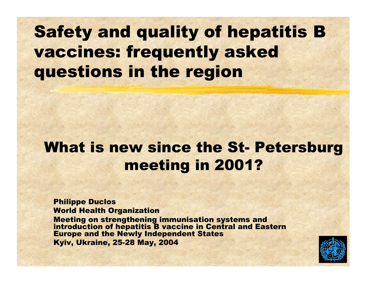### Safety and quality of hepatitis B vaccines: frequently asked questions in the region

### What is new since the St-Petersburg meeting in 2001?

#### Philippe Duclos World Health Organization

Meeting on strengthening immunisation systems and int roduction of hepatitis B vaccine in C entral and Eastern Europe and the Newly Independent States Kyiv, Ukraine, 25-28 May, 2004

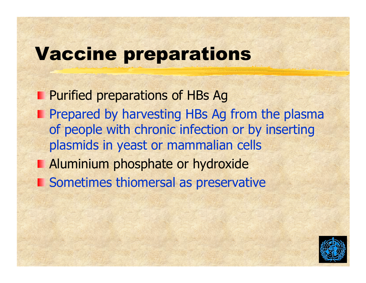## Vaccine preparations

Purified preparations of HBs A g Prepared by harvesting HBs Ag from the plasma of people with chronic infection or by inserting plasmids in yeast or mammalian cells **Aluminium phosphate or hydroxide Sometimes thiomersal as preservative** 

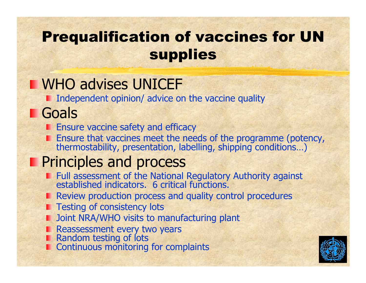### Prequalification of vaccines for UN supplies

### **NHO advises UNICEF**

**I** Independent opinion/ advice on the vaccine quality

### **Goals**

- **Ensure vaccine safety and efficacy**
- Ensure that vaccines meet the needs of the programme (potency,<br>thermostability, presentation, labelling, shipping conditions...)

### **Principles and process**

- Full assessment of the National Regulatory Authority against<br>established indicators. 6 critical functions.
- **Review production process and quality control procedures**
- Testing of consistency lots
- **D** Joint NRA/WHO visits to manufacturing plant
- 
- 
- Reassessment every two yea rs Random testing of lots Continuous monitoring for complaints

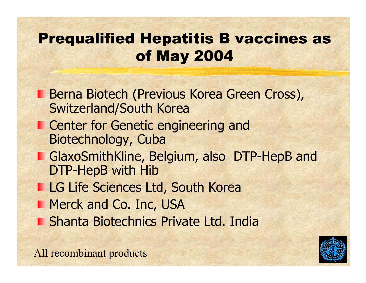### Prequalified Hepatitis B vaccines as of May 2004

- Berna Biotech (Previous Korea Green Cross), Switzerland/South Korea
- Center for Genetic engineering and Biotechnology, Cuba
- **GlaxoSmithKline, Belgium, also DTP-HepB and** DTP-HepB with Hib
- **LG Life Sciences Ltd, South Korea**
- **Merck and Co. Inc, USA** 
	- Shanta Biotechnics Private Ltd. India

All recombinant products

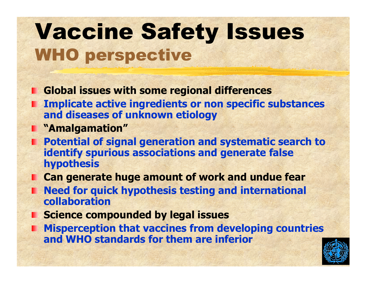## Vaccine Safety Issues WHO perspective

- **Global issues with some regional differences**
- **Implicate active ingredients or non specific substances and diseases of unknown etiology**
- **"Amalgamation"**
- **Potential of signal generation and systematic search to identify spurious associations and generate false hypothesis**
- **Can generate huge amount of work and undue fear**
- **Need for quick hypothesis testing and international collaboration**
- **E** Science compounded by legal issues
- **Misperception that vaccines from developing countries and WHO standards for them are inferior**

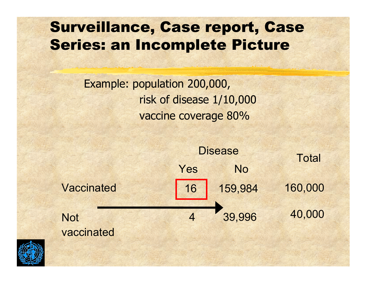### Surveillance, Case report, Case Series: an Incomplete Picture

Example: population 200,000, risk of disease 1/10,000 vaccine coverage 80%



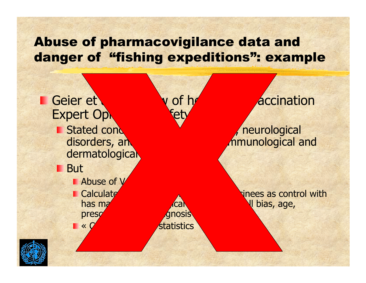### Abuse of pharmacovigilance data and danger of "fishing expeditions": example



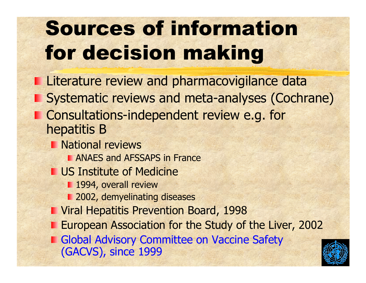# Sources of information for decision making

- Literature review and pharmacovigilance data
- **Systematic reviews and meta-analyses (Cochrane)**
- **Consultations-independent review e.g. for** hepatitis B
	- National reviews
		- **ANAES and AFSSAPS in France**
	- US Institute of Medicine
		- **1994, overall review**
		- 2002, demyelina ting diseases
	- Viral Hepatitis Prevention Board, 1998
	- European Association for the Study o f the Liver, 2002
	- Global Advisory Committee on Vaccine Safety (GACVS), since 1999

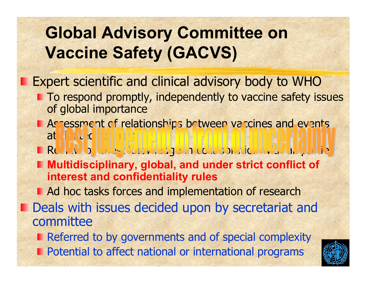## **Global Advisory Committee on Vaccine Safety (GACVS)**

Expert scientific and clinical advisory body to WHO

- **The To respond promptly, independently to vaccine safety issues** of global importance
- **E** Assessment of relationships between vaccines and events at  $11U$
- **Review of latest knowledge in collaboration with a**
- **Multidisciplinary, global, and under strict conflict of interest and confidentiality rules**

**Ad hoc tasks forces and implementation of research Deals with issues decided upon by secretariat and** committee

Referred to by governments and of special complexity

Potential to affect national or international programs

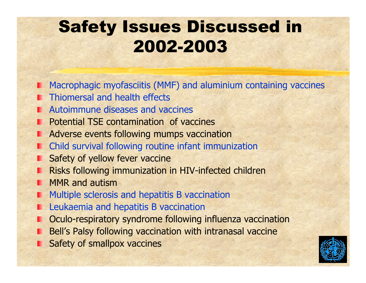### Safety Issues Discussed in 2002-2003

- Macrophagic myofasciitis (MMF) and aluminium containing vaccines
- **Thiomersal and health effects**
- **E.** Autoimmune diseases and vaccines
- Potential TSE contamination of vaccines
- Adverse events following mumps vaccination
- **n** Child survival following routine infant immunization
- Safety of yellow fever vaccine
- Risks following immunization in HIV-infected children
- **MMR** and autism
- Multiple sclerosis and hepatitis B vaccination
- Leukaemia and hepatitis B vaccination
- Oculo-respiratory syndrome following influenza vaccination
- Bell's Palsy following vaccination with intranasal vaccine
- **Safety of smallpox vaccines**

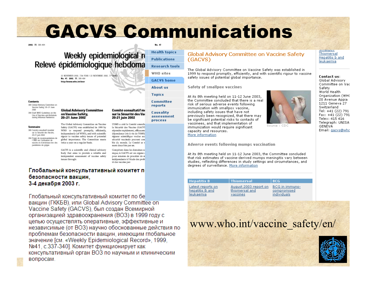## GACVS Communications

**Health tonics** 

**Publications** 

WHO sites

**About us** 

Committee

**Topics** 

reports

**Causality** 

**GACVS** home

**Research tools** 

**SAMPLE THE GOOD ARE** 

### Weekly epidemiological re<br>Relevé épidémiologique hebdoma

22 NOVEMBER 2002, 77th YEAR / 22 NOVEMBRE 2002, 77 No. 47, 2002, 77, 389-404 http://www.who.int/wer



389 Global Advisery Committee on Vaccine Safety, 20-21 June 2002 394 Draft WHO Guidelines on the

Use of Vaccines and Antivirals during Influenza Pandemics

#### Sommaire

389 Cervice consultatif monetial our la Sovietto des Marcias. 20.21 juin 2002 394 Projet de recommendations de<br>1'OMS sur l'utilisation de vaccins et d'antiviraux lors des

pandemies de prippe

#### **Global Advisory Committee** on Vaccine Safety. 20-21 June 2002

The Global Advisory Committee on Vaccine Safety (GACVS) was established in 1999 by WHO to respond promptly, efficiently, independently (of WHO), and with acientific rigour to vaccine safety issues of potential global importance. The Committee meets twice a year on a regular basis. ment deux fois par an.

GACVS is a scientific and clinical advisory body that aims to provide a reliable and independent assessment of vaccine safety issues through:

assessment 20-21 juin 2002 process L'OMS a créé le Comité consulta la Sécurité des Vaccins (GACVS répondre rapidement, efficacemdépendance (vis-à-vis-de l'OMS) rigueur scientifique voulue aux sécurité vaccinale pouvant con ble du monde. Le Comité se e

Comité consultatif me

sur la Sécurité des Vac

Committent dans les domaines en nique, le GACVS est un organe o pour mission de procéder de n indépendante à l'étude des probl té des vaccins par:

#### Глобальный консультативный комитет п безопасности вакцин. 3-4 декабря 2003 г.

Глобальный консультативный комитет по бе вакцин (ГККБВ), или Global Advisory Committee on Vaccine Safety (GACVS), был создан Всемирной организацией здравоохранения (ВОЗ) в 1999 году с целью осуществлять оперативные, эффективные и независимые (от ВОЗ) научно обоснованные действия по проблемам безопасности вакцин, имеющим глобальное значение Гсм. «Weekly Epidemiological Record», 1999. №41, с.337-340]. Комитет функционирует как консультативный орган ВОЗ по научным и клиническим вопросам.

#### Global Advisory Committee on Vaccine Safety (GACVS)

The Global Advisory Committee on Vaccine Safety was established in 1999 to respond promptly, efficiently, and with scientific rigour to vaccine safety issues of potential global importance.

Safety of smallpox vaccines

At its 8th meeting held on 11-12 June 2003. the Committee concluded that there is a real risk of serious adverse events following immunization with smallpox vaccine. including safety issues that have not previously been recognized, that there may be significant potential risks to contacts of vaccinees, and that implementation of immunization would require significant capacity and resources. More information

Adverse events following mumps vaccination

At its 8th meeting held on 11-12 June 2003, the Committee concluded that risk estimates of vaccine-derived mumps meningitis vary between studies, reflecting differences in study settings and circumstances, and degrees of surveillance. More information

**Hepatitis B** Latest reports on hepatitis B and leukaemia

**Thiomersal** August 2003 report on thiomersal and vaccines

BCG in immunocompromised individuals

**BCG** 

Source: CDC

### www.who.int/vaccine\_safety/en/



Thiomersal Hepatitis **b** and leukaemia

#### Contact us:

omanpox

Global Advisory Committee on Va Safety World Health Organization (WH 20 Avenue Appia 1211 Geneva 27 Switzerland Tel: +41 (22) 791 Fax: +41 (22) 79: Telex: 415 416 Telegraph: UNISA **GENEVA** Email: gacys@wh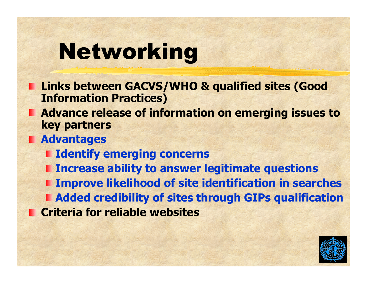# Networking

- **Links between GACVS/WHO & qualified sites (Good Information Practices)**
- **E** Advance release of information on emerging issues to **key partners**
- **Advantages**
	- **I** Identify emerging concerns
	- **I** Increase ability to answer legitimate questions
- **Improve likelihood of site identification in searches Added credibility of sites through GIPs qualification EXCriteria for reliable websites**

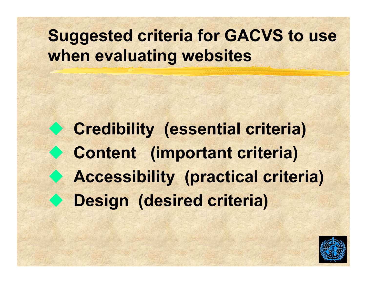### **Suggested criteria for GACVS to use when evaluating websites**

 **Credibility (essential criteria) Content (important criteria) Accessibility (practical criteria) Design (desired criteria)**

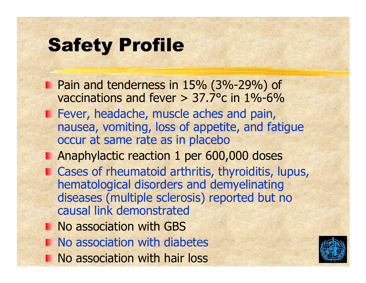## Safety Profile

- Pain and tenderness in 15% (3%-29%) of vaccinations and fever  $> 37.7$ °c in 1%-6% **Fever, headache, muscle aches and pain,** nausea, vomiting, loss of appetite, and fatigue occur at same rate as in placebo
- **Anaphylactic reaction 1 per 600,000 doses**
- **E** Cases of rheumatoid arthritis, thyroiditis, lupus, hematological disorders and demyelinating diseases (multiple sclerosis) reported but no causal link demonstrated
- **No association with GBS**
- **No association with diabetes**
- No association with hair loss

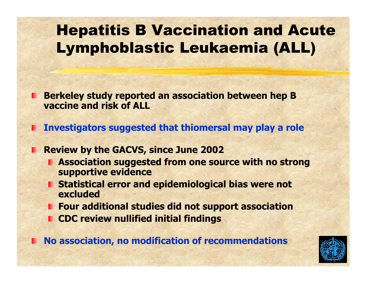### Hepatitis B Vaccination and Acute Lymphoblastic Leukaemia (ALL)

**Berkeley study reported an association between hep B vaccine and risk of ALL**

**Investigators suggested that thiomersal may play a role** 

**Review by the GACVS, since June 2002** 

- **E** Association suggested from one source with no strong **supportive evidence**
- **F** Statistical error and epidemiological bias were not **excluded**
- **Four additional studies did not s upport association**
- **CDC review nullified initial findings**

**No association, no modification of recommendations**

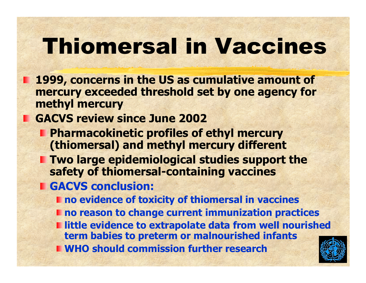# Thiomersal in Vaccines

- **1999, concerns in the US as cumulative amount of mercury exceeded threshold set by one agency for methyl mercury**
- **GACVS review since June 2002**
	- **Pharmacokinetic profiles of ethyl mercury (thiomersal) and methyl mercury different**
	- **Two large epidemiological studies support the safety of thiomersal-containing vaccines**
	- **GACVS conclusion:**
		- **no evidence of t oxicity of thiomersal in vaccines**
		- $\blacksquare$  **no reason to change current immunization practices**
		- **I** little evidence to extrapolate data from well nourished **term babies to preterm or malnourished infants**
		- **WHO should commission further research**

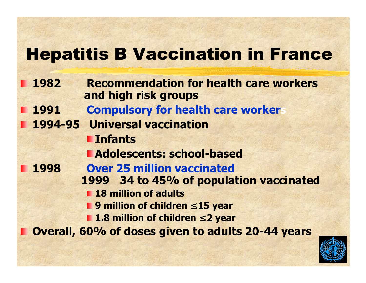### Hepatitis B Vaccination in France

- **1982 Recommendation for health care workers and high risk groups**
	- **1991Compulsory for health care workers**
	- **1994-95 Universal vaccination**
		- **Infants**
		- **Adolescents: school-based**
- **1998 Over 25 million vaccinated 1999 34 to 45% of population vaccinated**
	- **18 million of adults**
	- **9 million of children**  ≤ **15 year** 
		- **1.8 million of children**  ≤ **2 year**

**Overall, 60% of doses given to adults 20-44 years**

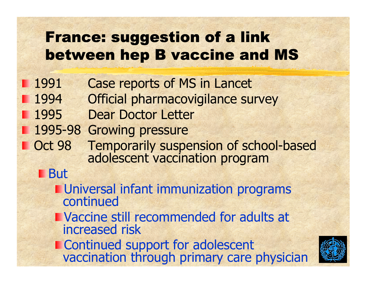### France: suggestion of a link between hep B vaccine and MS

- **1991**  Case reports of MS in Lancet
	- 1994 Official pharmacovigilance survey
	- 1995 Dear Doctor Letter
	- 1995-98 Gro wing pressure
- **Dubber 1988 Temporarily suspension of school-based adolescent vaccination program** 
	- **But** 
		- **Universal infant immunization programs**
		- **NACCINE STILL RECOMMENDED FOR ADDRESS IN THE VACCINE STILL FE** increased risk
		- **Late Continued support for adolescent<br>vaccination through primary care physician**

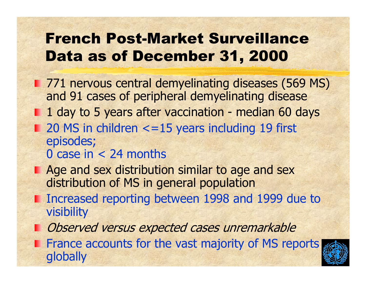### French Post-Market Surveillance Data as of December 31, 2000

- **771 nervous central demyelinating diseases (569 MS)** and 91 cases of peripheral demyelinating disease
	- 1 day to 5 years after vaccination median 60 days
- $\blacksquare$  20 MS in children  $\lt$  =15 years including 19 first episodes;
	- 0 case in  $<$  24 months
- **Age and sex distribution similar to age and sex** distribution of MS in general population
- Increased reporting between 1998 and 1999 due to visibility
- **Dbserved versus expected cases unremarkable**
- **Firance accounts for the vast majority of MS reports** globally

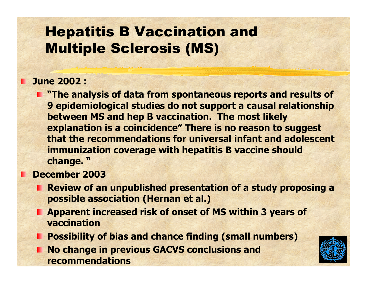### Hepatitis B Vaccination and Multiple S clerosis (MS)

### **June 2002 :**

**The analysis of data from spontaneous reports and results of 9 epidemiological studies do not support a causal relationship between MS and hep B vaccination. The most likely explanation is a coincidence" There is no reason to suggest that the recommendations for universal infant and adolescent immunization coverag e with hepatitis B v accine should change. "**

### **December 2003**

- **Review of an unpublished presentation of a study proposing a possible association (Hernan et al.)**
- **App arent increased risk of onset of MS within 3 years of vaccination**
- **Possibility of bias and chance finding (sm all numbers)**
- **No change in previous GACVS conclusions and recommendations**

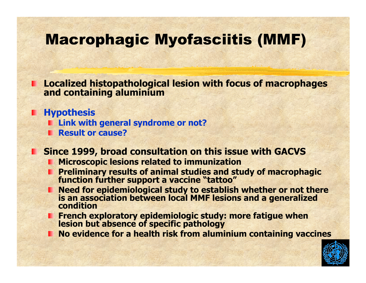### Macrophagic Myofasciitis (MMF)

**Localized histopathological lesion with focus of macrophages<br>and containing aluminium** 

**Hypothesis** 

- **Link with general syndrome or not?**
- **Result or cause?**

**Since 1999, broad consultation on this issue with GACVS**

- **Microscopic lesions related to immunization**
- **Preliminary results of animal studies and study of macrophagic function further support a vaccine "tattoo"**
- **Need for epidemiological study to est ablish whether or not there is an association between local MMF lesions and a g eneralized condition**
- **French exploratory epidemiologic study: more fatigue when lesion but absence of specific pathology**
- **No evidence for a health risk from alumi nium containing vaccines**